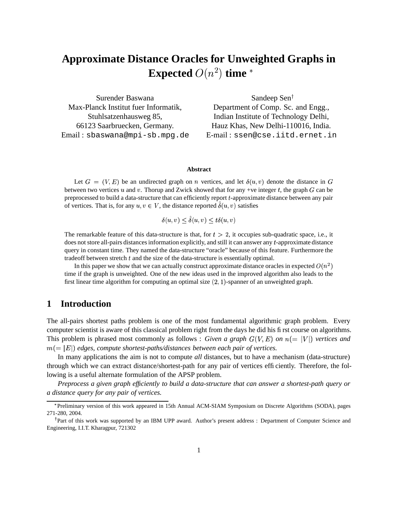# **Approximate Distance Oracles for Unweighted Graphs in Expected**  $O(n^2)$  **time**  $^*$

Surender Baswana Max-Planck Institut fuer Informatik, Stuhlsatzenhausweg 85, 66123 Saarbruecken, Germany. Email : sbaswana@mpi-sb.mpg.de

Sandeep Sen Department of Comp. Sc. and Engg., Indian Institute of Technology Delhi, Hauz Khas, New Delhi-110016, India. E-mail : ssen@cse.iitd.ernet.in

#### **Abstract**

Let  $G = (V, E)$  be an undirected graph on *n* vertices, and let  $\delta(u, v)$  denote the distance in G between two vertices  $u$  and  $v$ . Thorup and Zwick showed that for any +ve integer  $t$ , the graph  $G$  can be preprocessed to build a data-structure that can efficiently report -approximate distance between any pair of vertices. That is, for any  $u, v \in V$ , the distance reported  $\delta(u, v)$  satisfies

 $\delta(u, v) < \hat{\delta}(u, v) < t\delta(u, v)$ 

The remarkable feature of this data-structure is that, for  $t > 2$ , it occupies sub-quadratic space, i.e., it does not store all-pairs distances information explicitly, and still it can answer any  $t$ -approximate distance query in constant time. They named the data-structure "oracle" because of this feature. Furthermore the tradeoff between stretch  $t$  and the size of the data-structure is essentially optimal.

In this paper we show that we can actually construct approximate distance oracles in expected  $O(n^2)$ time if the graph is unweighted. One of the new ideas used in the improved algorithm also leads to the first linear time algorithm for computing an optimal size  $(2, 1)$ -spanner of an unweighted graph.

### **1 Introduction**

The all-pairs shortest paths problem is one of the most fundamental algorithmic graph problem. Every computer scientist is aware of this classical problem right from the days he did his first course on algorithms. This problem is phrased most commonly as follows : *Given a graph*  $G(V, E)$  *on*  $n (= |V|)$  vertices and  $m(=|E|)$  edges, compute shortest-paths/distances between each pair of vertices.

In many applications the aim is not to compute *all* distances, but to have a mechanism (data-structure) through which we can extract distance/shortest-path for any pair of vertices efficiently. Therefore, the following is a useful alternate formulation of the APSP problem.

*Preprocess a given graph efficiently to build a data-structure that can answer a shortest-path query or a distance query for any pair of vertices.*

<sup>\*</sup>Preliminary version of this work appeared in 15th Annual ACM-SIAM Symposium on Discrete Algorithms (SODA), pages 271-280, 2004.

<sup>&</sup>lt;sup>†</sup>Part of this work was supported by an IBM UPP award. Author's present address : Department of Computer Science and Engineering, I.I.T. Kharagpur, 721302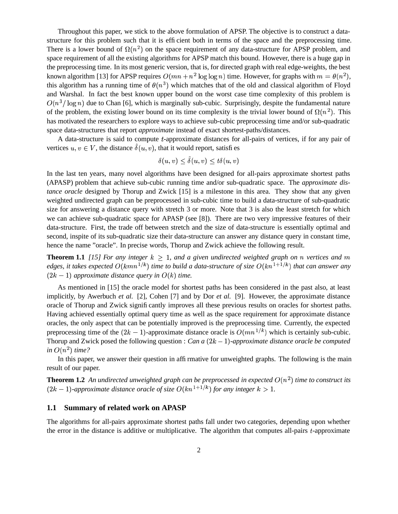Throughout this paper, we stick to the above formulation of APSP. The objective is to construct a datastructure for this problem such that it is efficient both in terms of the space and the preprocessing time. There is a lower bound of  $\Omega(n^2)$  on the space requirement of any data-structure for APSP problem, and space requirement of all the existing algorithms for APSP match this bound. However, there is a huge gap in the preprocessing time. In its most generic version, that is, for directed graph with real edge-weights, the best known algorithm [13] for APSP requires  $O(mn + n^2 \log \log n)$  time. However, for graphs with  $m = \theta(n^2)$ , this algorithm has a running time of  $\theta(n^3)$  which matches that of the old and classical algorithm of Floyd and Warshal. In fact the best known upper bound on the worst case time complexity of this problem is  $O(n^3/\log n)$  due to Chan [6], which is marginally sub-cubic. Surprisingly, despite the fundamental nature of the problem, the existing lower bound on its time complexity is the trivial lower bound of  $\Omega(n^2)$ . This has motivated the researchers to explore ways to achieve sub-cubic preprocessing time and/or sub-quadratic space data-structures that report *approximate* instead of exact shortest-paths/distances.

A data-structure is said to compute t-approximate distances for all-pairs of vertices, if for any pair of vertices  $u, v \in V$ , the distance  $\delta(u, v)$ , that it would report, satisfies

$$
\delta(u, v) \le \delta(u, v) \le t\delta(u, v)
$$

In the last ten years, many novel algorithms have been designed for all-pairs approximate shortest paths (APASP) problem that achieve sub-cubic running time and/or sub-quadratic space. The *approximate distance oracle* designed by Thorup and Zwick [15] is a milestone in this area. They show that any given weighted undirected graph can be preprocessed in sub-cubic time to build a data-structure of sub-quadratic size for answering a distance query with stretch 3 or more. Note that 3 is also the least stretch for which we can achieve sub-quadratic space for APASP (see [8]). There are two very impressive features of their data-structure. First, the trade off between stretch and the size of data-structure is essentially optimal and second, inspite of its sub-quadratic size their data-structure can answer any distance query in constant time, hence the name "oracle". In precise words, Thorup and Zwick achieve the following result.

**Theorem 1.1** *[15] For any integer*  $k \geq 1$ *, and a given undirected weighted graph on n vertices and m* edges, it takes expected  $O(kmn^{1/k})$  time to build a data-structure of size  $O(kn^{1+1/k})$  that can answer any  $(2k-1)$  approximate distance query in  $O(k)$  time.

As mentioned in [15] the oracle model for shortest paths has been considered in the past also, at least implicitly, by Awerbuch *et al.* [2], Cohen [7] and by Dor *et al.* [9]. However, the approximate distance oracle of Thorup and Zwick significantly improves all these previous results on oracles for shortest paths. Having achieved essentially optimal query time as well as the space requirement for approximate distance oracles, the only aspect that can be potentially improved is the preprocessing time. Currently, the expected preprocessing time of the  $(2k-1)$ -approximate distance oracle is  $O(mn^{1/k})$  which is certainly sub-cubic. Thorup and Zwick posed the following question : *Can a*  $(2k - 1)$ -*approximate distance oracle be computed*  $\int$ *in*  $O(n^2)$  *time?* 

In this paper, we answer their question in affirmative for unweighted graphs. The following is the main result of our paper.

**Theorem 1.2** An undirected unweighted graph can be preprocessed in expected  $O(n^2)$  time to construct its  $(2k-1)$ -approximate distance oracle of size  $O(kn^{1+1/k})$  for any integer  $k>1$ .

#### **1.1 Summary of related work on APASP**

The algorithms for all-pairs approximate shortest paths fall under two categories, depending upon whether the error in the distance is additive or multiplicative. The algorithm that computes all-pairs  $t$ -approximate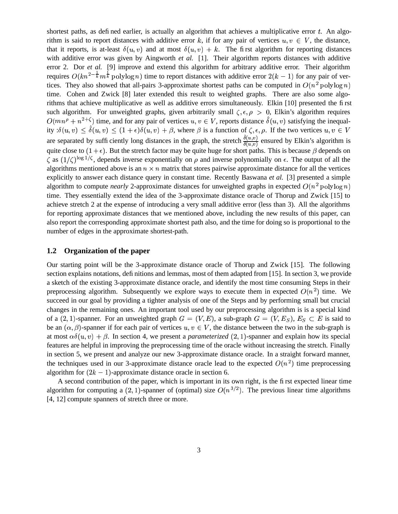shortest paths, as defined earlier, is actually an algorithm that achieves a multiplicative error  $t$ . An algorithm is said to report distances with additive error k, if for any pair of vertices  $u, v \in V$ , the distance, that it reports, is at-least  $\delta(u, v)$  and at most  $\delta(u, v) + k$ . The first algorithm for reporting distances with additive error was given by Aingworth *et al.* [1]. Their algorithm reports distances with additive error 2. Dor *et al.* [9] improve and extend this algorithm for arbitrary additive error. Their algorithm requires  $O(kn^{2-\frac{1}{k}}m^{\frac{1}{k}}$  polylog n) time to report distances with additive error  $2(k-1)$  for any pair of vertices. They also showed that all-pairs 3-approximate shortest paths can be computed in  $O(n^2 \text{ polylog } n)$ time. Cohen and Zwick [8] later extended this result to weighted graphs. There are also some algorithms that achieve multiplicative as well as additive errors simultaneously. Elkin [10] presented the first such algorithm. For unweighted graphs, given arbitrarily small  $\zeta, \epsilon, \rho > 0$ , Elkin's algorithm requires  $O(mn^{\rho} + n^{2+\zeta})$  time, and for any pair of vertices  $u, v \in V$ , reports distance  $\delta(u, v)$  satisfying the inequality  $:\delta(u, v) \leq \delta(u, v) \leq (1 + \epsilon)\delta(u, v) + \beta$ , where  $\beta$  is a function of  $\zeta, \epsilon, \rho$ . If the two vertices  $u, v \in V$ are separated by sufficiently long distances in the graph, the stretch  $\frac{\hat{\delta}(u,v)}{\hat{\delta}(u,v)}$  ensured by Elkin's algorithm is quite close to  $(1 + \epsilon)$ . But the stretch factor may be quite huge for short paths. This is because  $\beta$  depends on  $\zeta$  as  $(1/\zeta)^{\log 1/\zeta}$ , depends inverse exponentially on  $\rho$  and inverse polynomially on  $\epsilon$ . The output of all the algorithms mentioned above is an  $n \times n$  matrix that stores pairwise approximate distance for all the vertices explicitly to answer each distance query in constant time. Recently Baswana *et al.* [3] presented a simple algorithm to compute *nearly* 2-approximate distances for unweighted graphs in expected  $O(n^2 \text{ polylog } n)$ time. They essentially extend the idea of the 3-approximate distance oracle of Thorup and Zwick [15] to achieve stretch 2 at the expense of introducing a very small additive error (less than 3). All the algorithms for reporting approximate distances that we mentioned above, including the new results of this paper, can also report the corresponding approximate shortest path also, and the time for doing so is proportional to the number of edges in the approximate shortest-path.

### **1.2 Organization of the paper**

Our starting point will be the 3-approximate distance oracle of Thorup and Zwick [15]. The following section explains notations, definitions and lemmas, most of them adapted from [15]. In section 3, we provide a sketch of the existing 3-approximate distance oracle, and identify the most time consuming Steps in their preprocessing algorithm. Subsequently we explore ways to execute them in expected  $O(n^2)$  time. We succeed in our goal by providing a tighter analysis of one of the Steps and by performing small but crucial changes in the remaining ones. An important tool used by our preprocessing algorithm is is a special kind of a  $(2, 1)$ -spanner. For an unweighted graph  $G = (V, E)$ , a sub-graph  $G = (V, E_S)$ ,  $E_S \subset E$  is said to be an  $(\alpha, \beta)$ -spanner if for each pair of vertices  $u, v \in V$ , the distance between the two in the sub-graph is at most  $\alpha\delta(u, v) + \beta$ . In section 4, we present a *parameterized* (2, 1)-spanner and explain how its special features are helpful in improving the preprocessing time of the oracle without increasing the stretch. Finally in section 5, we present and analyze our new 3-approximate distance oracle. In a straight forward manner, the techniques used in our 3-approximate distance oracle lead to the expected  $O(n^2)$  time preprocessing algorithm for  $(2k - 1)$ -approximate distance oracle in section 6.

A second contribution of the paper, which is important in its own right, is the first expected linear time algorithm for computing a (2, 1)-spanner of (optimal) size  $O(n^{3/2})$ . The previous linear time algorithms [4, 12] compute spanners of stretch three or more.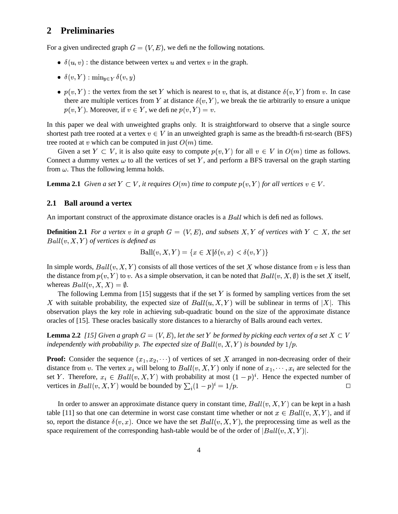# **2 Preliminaries**

For a given undirected graph  $G = (V, E)$ , we define the following notations.

- $\delta(u, v)$ : the distance between vertex u and vertex v in the graph.
- $\bullet$   $\delta(v, Y)$ :  $\min_{u \in Y} \delta(v, y)$
- $p(v, Y)$ : the vertex from the set Y which is nearest to v, that is, at distance  $\delta(v, Y)$  from v. In case there are multiple vertices from Y at distance  $\delta(v, Y)$ , we break the tie arbitrarily to ensure a unique  $p(v, Y)$ . Moreover, if  $v \in Y$ , we define  $p(v, Y) = v$ .

In this paper we deal with unweighted graphs only. It is straightforward to observe that a single source shortest path tree rooted at a vertex  $v \in V$  in an unweighted graph is same as the breadth-first-search (BFS) tree rooted at v which can be computed in just  $O(m)$  time.

Given a set  $Y \subset V$ , it is also quite easy to compute  $p(v, Y)$  for all  $v \in V$  in  $O(m)$  time as follows. Connect a dummy vertex  $\omega$  to all the vertices of set Y, and perform a BFS traversal on the graph starting from  $\omega$ . Thus the following lemma holds.

**Lemma 2.1** *Given a set*  $Y \subset V$ , *it requires*  $O(m)$  *time to compute*  $p(v, Y)$  *for all vertices*  $v \in V$ .

### **2.1 Ball around a vertex**

An important construct of the approximate distance oracles is a  $Ball$  which is defined as follows.

**Definition 2.1** For a vertex v in a graph  $G = (V, E)$ , and subsets  $X, Y$  of vertices with  $Y \subset X$ , the set  $Ball(v, X, Y)$  of vertices is defined as

$$
\text{Ball}(v, X, Y) = \{ x \in X | \delta(v, x) < \delta(v, Y) \}
$$

In simple words,  $Ball(v, X, Y)$  consists of all those vertices of the set X whose distance from v is less than the distance from  $p(v, Y)$  to v. As a simple observation, it can be noted that  $Ball(v, X, \emptyset)$  is the set X itself, whereas  $Ball(v, X, X) = \emptyset$ .

The following Lemma from  $[15]$  suggests that if the set Y is formed by sampling vertices from the set X with suitable probability, the expected size of  $Ball(u, X, Y)$  will be sublinear in terms of |X|. This observation plays the key role in achieving sub-quadratic bound on the size of the approximate distance oracles of [15]. These oracles basically store distances to a hierarchy of Balls around each vertex.

**Lemma 2.2** [15] Given a graph  $G = (V, E)$ , let the set Y be formed by picking each vertex of a set  $X \subset V$ *independently with probability p. The expected size of*  $Ball(v, X, Y)$  *is bounded by*  $1/p$ *.* 

**Proof:** Consider the sequence  $(x_1, x_2, \dots)$  of vertices of set X arranged in non-decreasing order of their distance from v. The vertex  $x_i$  will belong to  $Ball(v, X, Y)$  only if none of  $x_1, \dots, x_i$  are selected for the set Y. Therefore,  $x_i \in Ball(v, X, Y)$  with probability at most  $(1 - p)^i$ . Hence the expected number of vertices in  $Ball(v, X, Y)$  would be bounded by  $\sum_i (1-p)^i = 1/p$ . . As a set of the set of  $\Box$  and  $\Box$  and  $\Box$ 

In order to answer an approximate distance query in constant time,  $Ball(v, X, Y)$  can be kept in a hash table [11] so that one can determine in worst case constant time whether or not  $x \in Ball(v, X, Y)$ , and if so, report the distance  $\delta(v, x)$ . Once we have the set  $Ball(v, X, Y)$ , the preprocessing time as well as the space requirement of the corresponding hash-table would be of the order of  $|Ball(v, X, Y)|$ .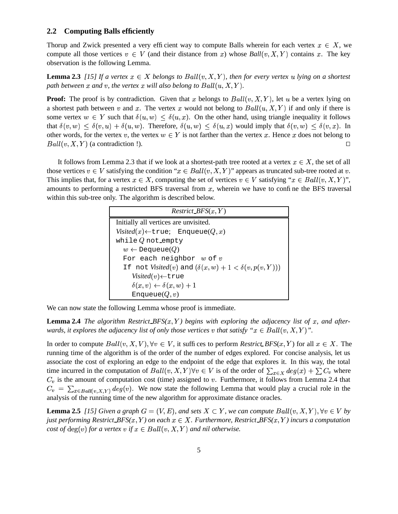#### **2.2 Computing Balls efficiently**

Thorup and Zwick presented a very efficient way to compute Balls wherein for each vertex  $x \in X$ , we compute all those vertices  $v \in V$  (and their distance from x) whose  $Ball(v, X, Y)$  contains x. The key observation is the following Lemma.

**Lemma 2.3** [15] If a vertex  $x \in X$  belongs to  $Ball(v, X, Y)$ , then for every vertex u lying on a shortest path between  $x$  and  $v$ , the vertex  $x$  will also belong to  $Ball(u, X, Y)$ .

**Proof:** The proof is by contradiction. Given that x belongs to  $Ball(v, X, Y)$ , let u be a vertex lying on a shortest path between v and x. The vertex x would not belong to  $Ball(u, X, Y)$  if and only if there is some vertex  $w \in Y$  such that  $\delta(u, w) \leq \delta(u, x)$ . On the other hand, using triangle inequality it follows that  $\delta(v, w) \leq \delta(v, u) + \delta(u, w)$ . Therefore,  $\delta(u, w) \leq \delta(u, x)$  would imply that  $\delta(v, w) \leq \delta(v, x)$ . In other words, for the vertex v, the vertex  $w \in Y$  is not farther than the vertex x. Hence x does not belong to  $Ball(v, X, Y)$  (a contradiction !).

It follows from Lemma 2.3 that if we look at a shortest-path tree rooted at a vertex  $x \in X$ , the set of all those vertices  $v \in V$  satisfying the condition " $x \in Ball(v, X, Y)$ " appears as truncated sub-tree rooted at v. This implies that, for a vertex  $x \in X$ , computing the set of vertices  $v \in V$  satisfying " $x \in Ball(v, X, Y)$ ", amounts to performing a restricted BFS traversal from  $x$ , wherein we have to confine the BFS traversal within this sub-tree only. The algorithm is described below.

| $Restrict_BFS(x, Y)$                                                             |
|----------------------------------------------------------------------------------|
| Initially all vertices are unvisited.                                            |
| Visited(x) $\leftarrow$ true; Enqueue $(Q, x)$                                   |
| while $Q$ not empty                                                              |
| $w \leftarrow$ Dequeue(Q)                                                        |
| For each neighbor $w$ of $v$                                                     |
| If not <i>Visited</i> ( <i>v</i> ) and $(\delta(x, w) + 1 < \delta(v, p(v, Y)))$ |
| Visited $(v)$ $\leftarrow$ true                                                  |
| $\delta(x, v) \leftarrow \delta(x, w) + 1$                                       |
| Enqueue $(Q, v)$                                                                 |

We can now state the following Lemma whose proof is immediate.

**Lemma 2.4** The algorithm Restrict BFS $(x, Y)$  begins with exploring the adjacency list of  $x$ , and after*wards, it explores the adjacency list of only those vertices v that satisfy "* $x \in Ball(v, X, Y)$ *".* 

In order to compute  $Ball(v, X, V), \forall v \in V$ , it suffices to perform *Restrict BFS* $(x, Y)$  for all  $x \in X$ . The running time of the algorithm is of the order of the number of edges explored. For concise analysis, let us associate the cost of exploring an edge to the endpoint of the edge that explores it. In this way, the total time incurred in the computation of  $Ball(v, X, Y)$   $\forall v \in V$  is of the order of  $\sum_{x \in X} deg(x) + \sum C_v$  where  $C_v$  is the amount of computation cost (time) assigned to v. Furthermore, it follows from Lemma 2.4 that  $C_v = \sum_{x \in Ball(v, X, Y)} deg(v)$ . We now state the following Lemma that would play a crucial role in the analysis of the running time of the new algorithm for approximate distance oracles.

**Lemma 2.5** [15] Given a graph  $G = (V, E)$ , and sets  $X \subset Y$ , we can compute  $Ball(v, X, Y)$ ,  $\forall v \in V$  by *just performing Restrict*  $BFS(x, Y)$  *on each*  $x \in X$ . Furthermore, Restrict  $BFS(x, Y)$  incurs a computation *cost of*  $deg(v)$  *for a vertex*  $v$  *if*  $x \in Ball(v, X, Y)$  *and nil otherwise.*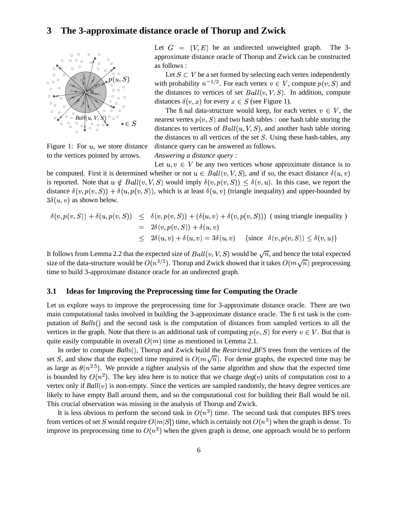## **3 The 3-approximate distance oracle of Thorup and Zwick**



Figure 1: For  $u$ , we store distance to the vertices pointed by arrows.

Let  $G = (V, E)$  be an undirected unweighted graph. The 3approximate distance oracle of Thorup and Zwick can be constructed as follows :

Let  $S \subset V$  be a set formed by selecting each vertex independently with probability  $n^{-1/2}$ . For each vertex  $v \in V$ , compute  $p(v, S)$  and the distances to vertices of set  $Ball(v, V, S)$ . In addition, compute distances  $\delta(v, x)$  for every  $x \in S$  (see Figure 1).

distances to vertices of  $Ball(u, V, S)$ , and another hash table storing The final data-structure would keep, for each vertex  $v \in V$ , the nearest vertex  $p(v, S)$  and two hash tables : one hash table storing the the distances to all vertices of the set  $S$ . Using these hash-tables, any distance query can be answered as follows.

*Answering a distance query :*

Let  $u, v \in V$  be any two vertices whose approximate distance is to be computed. First it is determined whether or not  $u \in Ball(v, V, S)$ , and if so, the exact distance  $\delta(u, v)$ is reported. Note that  $u \notin Ball(v, V, S)$  would imply  $\delta(v, p(v, S)) \leq \delta(v, u)$ . In this case, we report the distance  $\delta(v, p(v, S)) + \delta(u, p(v, S))$ , which is at least  $\delta(u, v)$  (triangle inequality) and upper-bounded by  $3\delta(u, v)$  as shown below.

$$
\delta(v, p(v, S)) + \delta(u, p(v, S)) \leq \delta(v, p(v, S)) + (\delta(u, v) + \delta(v, p(v, S))) \text{ (using triangle inequality)}
$$
\n
$$
= 2\delta(v, p(v, S)) + \delta(u, v)
$$
\n
$$
\leq 2\delta(u, v) + \delta(u, v) = 3\delta(u, v) \text{ {since } \delta(v, p(v, S)) \leq \delta(v, u)}
$$

It follows from Lemma 2.2 that the expected size of  $Ball(v, V, S)$  would be  $\sqrt{n}$ , and hence the total expected size of the data-structure would be  $O(n^{3/2})$ . Thorup and Zwick showed that it takes  $O(m\sqrt{n})$  preprocessing time to build 3-approximate distance oracle for an undirected graph.

### **3.1 Ideas for Improving the Preprocessing time for Computing the Oracle**

Let us explore ways to improve the preprocessing time for 3-approximate distance oracle. There are two main computational tasks involved in building the 3-approximate distance oracle. The first task is the computation of *Balls* $()$  and the second task is the computation of distances from sampled vertices to all the vertices in the graph. Note that there is an additional task of computing  $p(v, S)$  for every  $v \in V$ . But that is quite easily computable in overall  $O(m)$  time as mentioned in Lemma 2.1.

In order to compute *Balls*(), Thorup and Zwick build the *Restricted BFS* trees from the vertices of the set S, and show that the expected time required is  $O(m\sqrt{n})$ . For dense graphs, the expected time may be as large as  $\theta(n^{2.5})$ . We provide a tighter analysis of the same algorithm and show that the expected time is bounded by  $O(n^2)$ . The key idea here is to notice that we charge  $deg(v)$  units of computation cost to a vertex only if  $Ball(v)$  is non-empty. Since the vertices are sampled randomly, the heavy degree vertices are likely to have empty Ball around them, and so the computational cost for building their Ball would be nil. This crucial observation was missing in the analysis of Thorup and Zwick.

It is less obvious to perform the second task in  $O(n^2)$  time. The second task that computes BFS trees from vertices of set S would require  $O(m|S|)$  time, which is certainly not  $O(n^2)$  when the graph is dense. To improve its preprocessing time to  $O(n^2)$  when the given graph is dense, one approach would be to perform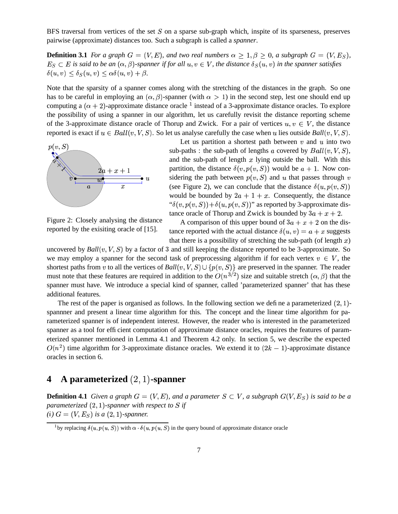BFS traversal from vertices of the set  $S$  on a sparse sub-graph which, inspite of its sparseness, preserves pairwise (approximate) distances too. Such a subgraph is called a *spanner*.

**Definition 3.1** For a graph  $G = (V, E)$ , and two real numbers  $\alpha \geq 1, \beta \geq 0$ , a subgraph  $G = (V, E_S)$ ,  $E_S \subset E$  is said to be an  $(\alpha, \beta)$ -spanner if for all  $u, v \in V$ , the distance  $\delta_S(u, v)$  in the spanner satisfies  $\delta(u, v) \leq \delta_S(u, v) \leq \alpha \delta(u, v) + \beta.$ 

Note that the sparsity of a spanner comes along with the stretching of the distances in the graph. So one has to be careful in employing an  $(\alpha, \beta)$ -spanner (with  $\alpha > 1$ ) in the second step, lest one should end up computing a  $(\alpha + 2)$ -approximate distance oracle <sup>1</sup> instead of a 3-approximate distance oracles. To explore the possibility of using a spanner in our algorithm, let us carefully revisit the distance reporting scheme ag replacements of the 3-approximate distance oracle of Thorup and Zwick. For a pair of vertices  $u, v \in V$ , the distance

reported is exact if  $u \in Ball(v, V, S)$ . So let us analyse carefully the case when u lies outside *Ball*  $(v, V, S)$ .



Figure 2: Closely analysing the distance reported by the exisiting oracle of [15].

Let us partition a shortest path between  $v$  and  $u$  into two sub-paths : the sub-path of lengths a covered by  $Ball(v, V, S)$ , and the sub-path of length  $x$  lying outside the ball. With this partition, the distance  $\delta(v, p(v, S))$  would be  $a + 1$ . Now considering the path between  $p(v, S)$  and u that passes through v (see Figure 2), we can conclude that the distance  $\delta(u, p(v, S))$  $\cdot$   $\cdot$   $\sim$   $\cdot$   $\cdot$ would be bounded by  $2a + 1 + x$ . Consequently, the distance " $\delta(v, p(v, S)) + \delta(u, p(v, S))$ " as reported by 3-approximate distance oracle of Thorup and Zwick is bounded by  $3a + x + 2$ .

A comparison of this upper bound of  $3a + x + 2$  on the distance reported with the actual distance  $\delta(u, v) = a + x$  suggests that there is a possibility of stretching the sub-path (of length  $x$ )

uncovered by  $Ball(v, V, S)$  by a factor of 3 and still keeping the distance reported to be 3-approximate. So we may employ a spanner for the second task of preprocessing algorithm if for each vertex  $v \in V$ , the shortest paths from v to all the vertices of  $Ball(v, V, S) \cup \{p(v, S)\}\$  are preserved in the spanner. The reader must note that these features are required in addition to the  $O(n^{3/2})$  size and suitable stretch  $(\alpha, \beta)$  that the spanner must have. We introduce a special kind of spanner, called 'parameterized spanner' that has these additional features.

The rest of the paper is organised as follows. In the following section we define a parameterized  $(2, 1)$ spannner and present a linear time algorithm for this. The concept and the linear time algorithm for parameterized spanner is of independent interest. However, the reader who is interested in the parameterized spanner as a tool for efficient computation of approximate distance oracles, requires the features of parameterized spanner mentioned in Lemma 4.1 and Theorem 4.2 only. In section 5, we describe the expected  $O(n^2)$  time algorithm for 3-approximate distance oracles. We extend it to  $(2k - 1)$ -approximate distance oracles in section 6.

# **4 A** parameterized  $(2, 1)$ -spanner

**Definition 4.1** Given a graph  $G = (V, E)$ , and a parameter  $S \subset V$ , a subgraph  $G(V, E_S)$  is said to be a *parameterized*  $(2, 1)$ -spanner with respect to  $S$  if *(i)*  $G = (V, E_S)$  *is a*  $(2, 1)$ -spanner.

<sup>&</sup>lt;sup>1</sup> by replacing  $\delta(u, p(u, S))$  with  $\alpha \cdot \delta(u, p(u, S))$  in the query bound of approximate distance oracle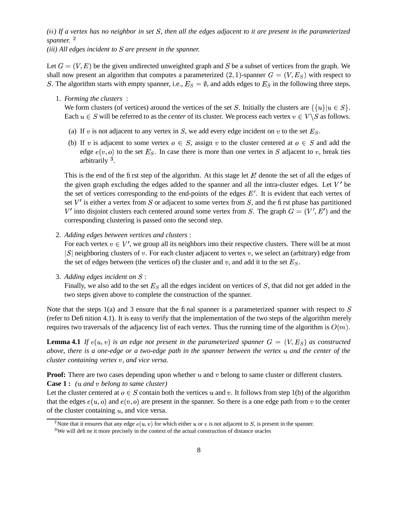### $(ii)$  If a vertex has no neighbor in set S, then all the edges adjacent to it are present in the parameterized *spanner.*

*(iii) All edges incident to are present in the spanner.*

Let  $G = (V, E)$  be the given undirected unweighted graph and S be a subset of vertices from the graph. We shall now present an algorithm that computes a parameterized  $(2, 1)$ -spanner  $G = (V, E<sub>S</sub>)$  with respect to S. The algorithm starts with empty spanner, i.e.,  $E_s = \emptyset$ , and adds edges to  $E_s$  in the following three steps.

1. *Forming the clusters* :

We form clusters (of vertices) around the vertices of the set S. Initially the clusters are  $\{\{u\}|u \in S\}$ . Each  $u \in S$  will be referred to as the *center* of its cluster. We process each vertex  $v \in V \backslash S$  as follows.

- (a) If v is not adjacent to any vertex in S, we add every edge incident on v to the set  $E<sub>S</sub>$ .
- (b) If v is adjacent to some vertex  $o \in S$ , assign v to the cluster centered at  $o \in S$  and add the edge  $e(v, o)$  to the set  $E_s$ . In case there is more than one vertex in S adjacent to v, break ties arbitrarily  $3$ .

This is the end of the first step of the algorithm. At this stage let  $E$  denote the set of all the edges of the given graph excluding the edges added to the spanner and all the intra-cluster edges. Let  $V'$  be the set of vertices corresponding to the end-points of the edges  $E'$ . It is evident that each vertex of set  $V'$  is either a vertex from S or adjacent to some vertex from S, and the first phase has partitioned  $V'$  into disjoint clusters each centered around some vertex from S. The graph  $G = (V', E')$  and the corresponding clustering is passed onto the second step.

2. *Adding edges between vertices and clusters* :

For each vertex  $v \in V'$ , we group all its neighbors into their respective clusters. There will be at most  $|S|$  neighboring clusters of v. For each cluster adjacent to vertex v, we select an (arbitrary) edge from the set of edges between (the vertices of) the cluster and  $v$ , and add it to the set  $E<sub>S</sub>$ .

3. *Adding edges incident on* :

Finally, we also add to the set  $E<sub>S</sub>$  all the edges incident on vertices of S, that did not get added in the two steps given above to complete the construction of the spanner.

Note that the steps  $1(a)$  and 3 ensure that the final spanner is a parameterized spanner with respect to S (refer to Definition 4.1). It is easy to verify that the implementation of the two steps of the algorithm merely requires two traversals of the adjacency list of each vertex. Thus the running time of the algorithm is  $O(m)$ .

**Lemma 4.1** *If*  $e(u, v)$  *is an edge not present in the parameterized spanner*  $G = (V, E<sub>S</sub>)$  *as constructed* above, there is a one-edge or a two-edge path in the spanner between the vertex u and the center of the *cluster containing vertex , and vice versa.*

**Proof:** There are two cases depending upon whether  $u$  and  $v$  belong to same cluster or different clusters. **Case 1 :** *( and belong tosame cluster)*

Let the cluster centered at  $o \in S$  contain both the vertices u and v. It follows from step 1(b) of the algorithm that the edges  $e(u, o)$  and  $e(v, o)$  are present in the spanner. So there is a one edge path from v to the center of the cluster containing  $u$ , and vice versa.

<sup>&</sup>lt;sup>2</sup> Note that it ensures that any edge  $e(u, v)$  for which either u or v is not adjacent to S, is present in the spanner.

 $3$ We will define it more precisely in the context of the actual construction of distance oracles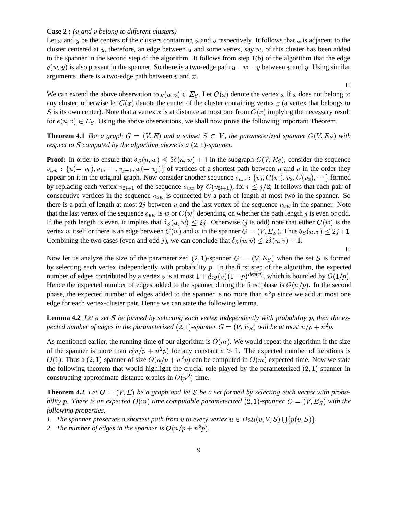#### **Case 2 :** *( and belong to different clusters)*

Let x and y be the centers of the clusters containing u and v respectively. It follows that u is adjacent to the cluster centered at y, therefore, an edge between  $u$  and some vertex, say  $w$ , of this cluster has been added to the spanner in the second step of the algorithm. It follows from step 1(b) of the algorithm that the edge  $e(w, y)$  is also present in the spanner. So there is a two-edge path  $u - w - y$  between u and y. Using similar arguments, there is a two-edge path between  $v$  and  $x$ .

We can extend the above observation to  $e(u, v) \in E_S$ . Let  $C(x)$  denote the vertex x if x does not belong to any cluster, otherwise let  $C(x)$  denote the center of the cluster containing vertex x (a vertex that belongs to S is its own center). Note that a vertex x is at distance at most one from  $C(x)$  implying the necessary result for  $e(u, v) \in E_S$ . Using the above observations, we shall now prove the following important Theorem.

**Theorem 4.1** For a graph  $G = (V, E)$  and a subset  $S \subset V$ , the parameterized spanner  $G(V, E_S)$  with *respect to*  $S$  *computed by the algorithm above is a*  $(2, 1)$ *-spanner.* 

**Proof:** In order to ensure that  $\delta_S(u, w) \leq 2\delta(u, w) + 1$  in the subgraph  $G(V, E_S)$ , consider the sequence  $s_{uw}$ :  $\{u(= v_0), v_1, \dots, v_{j-1}, w(= v_j)\}$  of vertices of a shortest path between u and v in the order they appear on it in the original graph. Now consider another sequence  $c_{uw}$ :  $\{v_0, C(v_1), v_2, C(v_3), \cdots\}$  formed by replacing each vertex  $v_{2i+1}$  of the sequence  $s_{uw}$  by  $C(v_{2i+1})$ , for  $i \leq j/2$ ; It follows that each pair of consecutive vertices in the sequence  $c_{uw}$  is connected by a path of length at most two in the spanner. So there is a path of length at most 2j between u and the last vertex of the sequence  $c_{uw}$  in the spanner. Note that the last vertex of the sequence  $c_{uw}$  is w or  $C(w)$  depending on whether the path length j is even or odd. If the path length is even, it implies that  $\delta_S(u, w) \leq 2j$ . Otherwise (j is odd) note that either  $C(w)$  is the vertex w itself or there is an edge between  $C(w)$  and w in the spanner  $G = (V, E_S)$ . Thus  $\delta_S(u, v) \leq 2j + 1$ . Combining the two cases (even and odd j), we can conclude that  $\delta_S(u, v) \leq 2\delta(u, v) + 1$ .

Now let us analyze the size of the parameterized (2, 1)-spanner  $G = (V, E<sub>S</sub>)$  when the set S is formed by selecting each vertex independently with probability  $p$ . In the first step of the algorithm, the expected number of edges contributed by a vertex v is at most  $1 + deg(v)(1 - p)^{deg(v)}$ , which  $(v)$ , which is bounded by  $O(1/p)$ . Hence the expected number of edges added to the spanner during the first phase is  $O(n/p)$ . In the second phase, the expected number of edges added to the spanner is no more than  $n^2p$  since we add at most one edge for each vertex-cluster pair. Hence we can state the following lemma.

**Lemma 4.2** Let a set S be formed by selecting each vertex independently with probability  $p$ , then the expected number of edges in the parameterized  $(2,1)$ -spanner  $G = (V,E_S)$  will be at most  $n/p + n^2p$ .

As mentioned earlier, the running time of our algorithm is  $O(m)$ . We would repeat the algorithm if the size of the spanner is more than  $c(n/p + n^2p)$  for any constant  $c > 1$ . The expected number of iterations is  $O(1)$ . Thus a  $(2, 1)$  spanner of size  $O(n/p + n^2p)$  can be computed in  $O(m)$  expected time. Now we state the following theorem that would highlight the crucial role played by the parameterized  $(2, 1)$ -spanner in constructing approximate distance oracles in  $O(n^2)$  time.

**Theorem 4.2** Let  $G = (V, E)$  be a graph and let S be a set formed by selecting each vertex with probability p. There is an expected  $O(m)$  time computable parameterized  $(2,1)$ -spanner  $G = (V, E_S)$  with the *following properties.*

- *1.* The spanner preserves a shortest path from  $v$  to every vertex  $u \in Ball(v, V, S) \bigcup \{p(v, S)\}$
- 2. *The number of edges in the spanner is*  $O(n/p + n^2p)$ .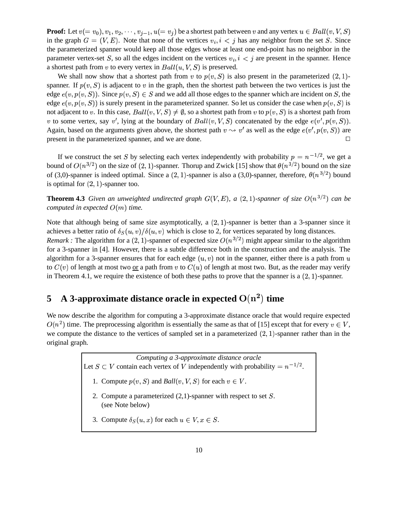**Proof:** Let  $v(=v_0), v_1, v_2, \cdots, v_{j-1}, u(=v_j)$  be a shortest path between  $v$  and any vertex  $u \in Ball(v, V, S)$ in the graph  $G = (V, E)$ . Note that none of the vertices  $v_i, i < j$  has any neighbor from the set S. Since the parameterized spanner would keep all those edges whose at least one end-point has no neighbor in the parameter vertex-set S, so all the edges incident on the vertices  $v_i$ ,  $i < j$  are present in the spanner. Hence a shortest path from  $v$  to every vertex in  $Ball(u, V, S)$  is preserved.

We shall now show that a shortest path from v to  $p(v, S)$  is also present in the parameterized  $(2, 1)$ spanner. If  $p(v, S)$  is adjacent to v in the graph, then the shortest path between the two vertices is just the edge  $e(v, p(v, S))$ . Since  $p(v, S) \in S$  and we add all those edges to the spanner which are incident on S, the edge  $e(v, p(v, S))$  is surely present in the parameterized spanner. So let us consider the case when  $p(v, S)$  is not adjacent to v. In this case,  $Ball(v,V,S) \neq \emptyset$ , so a shortest path from  $v$  to  $p(v,S)$  is a shortest path from v to some vertex, say v', lying at the boundary of  $Ball(v, V, S)$  concatenated by the edge  $e(v', p(v, S))$ . Again, based on the arguments given above, the shortest path  $v \leadsto v'$  as well as the edge  $e(v', p(v, S))$  are present in the parameterized spanner, and we are done.  $\Box$ 

If we construct the set S by selecting each vertex independently with probability  $p = n^{-1/2}$ , we get a bound of  $O(n^{3/2})$  on the size of  $(2, 1)$ -spanner. Thorup and Zwick [15] show that  $\theta(n^{3/2})$  bound on the size of (3,0)-spanner is indeed optimal. Since a (2, 1)-spanner is also a (3,0)-spanner, therefore,  $\theta(n^{3/2})$  bound is optimal for  $(2, 1)$ -spanner too.

**Theorem 4.3** Given an unweighted undirected graph  $G(V, E)$ , a (2, 1)-spanner of size  $O(n^{3/2})$  can be *computed in expected*  $O(m)$  *time.* 

Note that although being of same size asymptotically, a  $(2, 1)$ -spanner is better than a 3-spanner since it achieves a better ratio of  $\delta_S(u, v) / \delta(u, v)$  which is close to 2, for vertices separated by long distances. *Remark* : The algorithm for a (2, 1)-spanner of expected size  $O(n^{3/2})$  might appear similar to the algorithm for a 3-spanner in [4]. However, there is a subtle difference both in the construction and the analysis. The algorithm for a 3-spanner ensures that for each edge  $(u, v)$  not in the spanner, either there is a path from u to  $C(v)$  of length at most two or a path from v to  $C(u)$  of length at most two. But, as the reader may verify in Theorem 4.1, we require the existence of both these paths to prove that the spanner is a  $(2, 1)$ -spanner.

# **5 A 3-approximate distance oracle in expected**  $O(n^2)$  time

We now describe the algorithm for computing a 3-approximate distance oracle that would require expected  $O(n^2)$  time. The preprocessing algorithm is essentially the same as that of [15] except that for every  $v \in V$ , we compute the distance to the vertices of sampled set in a parameterized  $(2, 1)$ -spanner rather than in the original graph.

> *Computing a 3-approximate distance oracle* Let  $S \subset V$  contain each vertex of V independently with probability  $= n^{-1/2}$ . 1. Compute  $p(v, S)$  and  $Ball(v, V, S)$  for each  $v \in V$ . 2. Compute a parameterized  $(2,1)$ -spanner with respect to set S. (see Note below) 3. Compute  $\delta_S(u, x)$  for each  $u \in V, x \in S$ .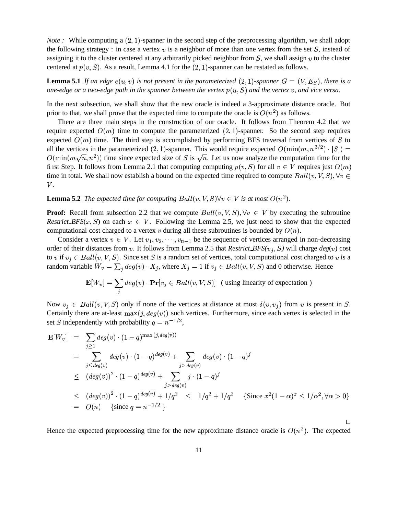*Note* : While computing a  $(2, 1)$ -spanner in the second step of the preprocessing algorithm, we shall adopt the following strategy : in case a vertex  $v$  is a neighbor of more than one vertex from the set  $S$ , instead of assigning it to the cluster centered at any arbitrarily picked neighbor from  $S$ , we shall assign  $v$  to the cluster centered at  $p(v, S)$ . As a result, Lemma 4.1 for the  $(2, 1)$ -spanner can be restated as follows.

**Lemma** 5.1 If an edge  $e(u, v)$  is not present in the parameterized (2, 1)-spanner  $G = (V, E_S)$ , there is a one-edge or a two-edge path in the spanner between the vertex  $p(u, S)$  and the vertex v, and vice versa.

In the next subsection, we shall show that the new oracle is indeed a 3-approximate distance oracle. But prior to that, we shall prove that the expected time to compute the oracle is  $O(n^2)$  as follows.

There are three main steps in the construction of our oracle. It follows from Theorem 4.2 that we require expected  $O(m)$  time to compute the parameterized  $(2, 1)$ -spanner. So the second step requires expected  $O(m)$  time. The third step is accomplished by performing BFS traversal from vertices of S to all the vertices in the parameterized  $(2, 1)$ -spanner. This would require expected  $O(\min(m, n^{3/2}) \cdot |S|)$  =  $O(\min(m\sqrt{n}, n^2))$  time since expected size of S is  $\sqrt{n}$ . Let us now analyze the computation time for the first Step. It follows from Lemma 2.1 that computing computing  $p(v, S)$  for all  $v \in V$  requires just  $O(m)$ time in total. We shall now establish a bound on the expected time required to compute  $Ball(v, V, S)$ ,  $\forall v \in$  $V_{\cdot}$ 

**Lemma 5.2** *The expected time for computing Ball* $(v, V, S)$  $\forall v \in V$  *is at most*  $O(n^2)$ *.* 

**Proof:** Recall from subsection 2.2 that we compute  $Ball(v, V, S)$ ,  $\forall v \in V$  by executing the subroutine *Restrict BFS*( $x$ ,  $S$ ) on each  $x \in V$ . Following the Lemma 2.5, we just need to show that the expected computational cost charged to a vertex v during all these subroutines is bounded by  $O(n)$ .

Consider a vertex  $v \in V$ . Let  $v_1, v_2, \dots, v_{n-1}$  be the sequence of vertices arranged in non-decreasing order of their distances from v. It follows from Lemma 2.5 that *Restrict BFS(* $v_j$ , S) will charge  $deg(v)$  cost to v if  $v_i \in Ball(v, V, S)$ . Since set S is a random set of vertices, total computational cost charged to v is a random variable  $W_v = \sum_i deg(v) \cdot X_i$ , where  $X_i = 1$  if  $v_i \in Ball(v, V, S)$  and 0 otherwise. Hence

$$
\mathbf{E}[W_v] = \sum_j deg(v) \cdot \mathbf{Pr}[v_j \in Ball(v, V, S)] \text{ (using linearity of expectation)}
$$

Now  $v_i \in Ball(v, V, S)$  only if none of the vertices at distance at most  $\delta(v, v_i)$  from v is present in S. Certainly there are at-least  $max(j, deg(v))$  such vertices. Furthermore, since each vertex is selected in the set S independently with probability  $q = n^{-1/2}$ ,

$$
\mathbf{E}[W_v] = \sum_{j \ge 1} deg(v) \cdot (1 - q)^{\max(j, deg(v))}
$$
  
\n
$$
= \sum_{j \le deg(v)} deg(v) \cdot (1 - q)^{deg(v)} + \sum_{j > deg(v)} deg(v) \cdot (1 - q)^j
$$
  
\n
$$
\le (deg(v))^2 \cdot (1 - q)^{deg(v)} + \sum_{j > deg(v)} j \cdot (1 - q)^j
$$
  
\n
$$
\le (deg(v))^2 \cdot (1 - q)^{deg(v)} + 1/q^2 \le 1/q^2 + 1/q^2 \quad \{\text{Since } x^2(1 - \alpha)^x \le 1/\alpha^2, \forall \alpha > 0\}
$$
  
\n
$$
= O(n) \quad \{\text{since } q = n^{-1/2}\}
$$

Hence the expected preprocessing time for the new approximate distance oracle is  $O(n^2)$ . The expected

 $\Box$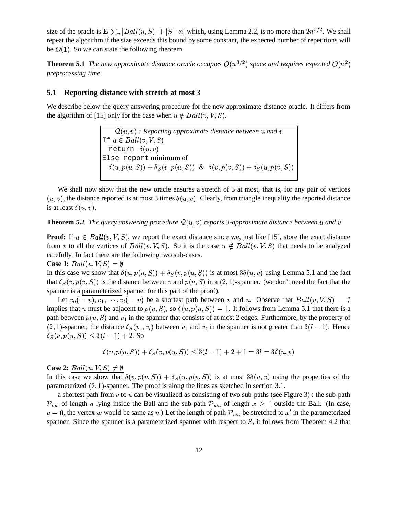size of the oracle is  $\mathbf{E}[\sum_{u}|Ball(u, S)|+|S| \cdot n]$  which, using Lemma 2.2, is no more than  $2n^{3/2}$ . We shall repeat the algorithm if the size exceeds this bound by some constant, the expected number of repetitions will be  $O(1)$ . So we can state the following theorem.

**Theorem 5.1** *The new approximate distance oracle occupies*  $O(n^{3/2})$  *space and requires expected*  $O(n^2)$ *preprocessing time.*

### **5.1 Reporting distance with stretch at most 3**

We describe below the query answering procedure for the new approximate distance oracle. It differs from the algorithm of [15] only for the case when  $u \notin Ball(v, V, S)$ .

> $\mathcal{Q}(u, v)$  : Reporting approximate distance between  $u$  and  $v$ If  $u \in Ball(v, V, S)$ return  $\delta(u,v)$ Else report **minimum** of  $\delta(u, p(u, S)) + \delta_S(v, p(u, S))$  &  $\delta(v, p(v, S)) + \delta_S(u, p(v, S))$

We shall now show that the new oracle ensures a stretch of 3 at most, that is, for any pair of vertices  $(u, v)$ , the distance reported is at most 3 times  $\delta(u, v)$ . Clearly, from triangle inequality the reported distance is at least  $\delta(u, v)$ .

**Theorem 5.2** *The query answering procedure*  $\mathcal{Q}(u, v)$  *reports* 3-approximate distance between  $u$  and  $v$ .

**Proof:** If  $u \in Ball(v, V, S)$ , we report the exact distance since we, just like [15], store the exact distance from v to all the vertices of  $Ball(v, V, S)$ . So it is the case  $u \notin Ball(v, V, S)$  that needs to be analyzed carefully. In fact there are the following two sub-cases.

Case 1: 
$$
Ball(u, V, S) = \emptyset
$$

In this case we show that  $\delta(u, p(u, S)) + \delta_S(v, p(u, S))$  is at most  $3\delta(u, v)$  using Lemma 5.1 and the fact that  $\delta_S(v, p(v, S))$  is the distance between v and  $p(v, S)$  in a  $(2, 1)$ -spanner. (we don't need the fact that the spanner is a parameterized spanner for this part of the proof).

Let  $v_0 (= v), v_1, \dots, v_l (= u)$  be a shortest path between v and u. Observe that  $Ball(u, V, S) = \emptyset$ implies that u must be adjacent to  $p(u, S)$ , so  $\delta(u, p(u, S)) = 1$ . It follows from Lemma 5.1 that there is a path between  $p(u, S)$  and  $v_1$  in the spanner that consists of at most 2 edges. Furthermore, by the property of (2, 1)-spanner, the distance  $\delta_S(v_1, v_i)$  between  $v_1$  and  $v_i$  in the spanner is not greater than  $3(l-1)$ . Hence  $\delta_S(v, p(u, S)) \leq 3(l-1) + 2.$  So

$$
\delta(u, p(u, S)) + \delta_S(v, p(u, S)) \leq 3(l-1) + 2 + 1 = 3l = 3\delta(u, v)
$$

### **Case 2:**  $Ball(u, V, S) \neq \emptyset$

In this case we show that  $\delta(v, p(v, S)) + \delta_S(u, p(v, S))$  is at most  $3\delta(u, v)$  using the properties of the parameterized  $(2, 1)$ -spanner. The proof is along the lines as sketched in section 3.1.

a shortest path from  $v$  to  $u$  can be visualized as consisting of two sub-paths (see Figure 3) : the sub-path  $\mathcal{P}_{vw}$  of length a lying inside the Ball and the sub-path  $\mathcal{P}_{wu}$  of length  $x \ge 1$  outside the Ball. (In case,  $a = 0$ , the vertex w would be same as v.) Let the length of path  $P_{wu}$  be stretched to  $x'$  in the parameterized spanner. Since the spanner is a parameterized spanner with respect to  $S$ , it follows from Theorem 4.2 that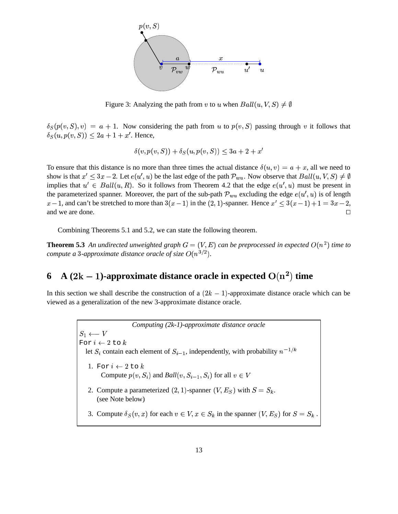PSfrag replacements



Figure 3: Analyzing the path from v to u when  $Ball(u, V, S) \neq \emptyset$ 

 $\delta_S(p(v, S), v) = a + 1$ . Now considering the path from u to  $p(v, S)$  passing through v it follows that  $\delta_S(u, p(v, S)) \leq 2a + 1 + x'$ . Hence,

$$
\delta(v, p(v, S)) + \delta_S(u, p(v, S)) \le 3a + 2 + x'
$$

To ensure that this distance is no more than three times the actual distance  $\delta(u, v) = a + x$ , all we need to show is that  $x' \leq 3x - 2$ . Let  $e(u', u)$  be the last edge of the path  $\mathcal{P}_{wu}$ . Now observe that  $Ball(u, V, S) \neq \emptyset$ implies that  $u' \in Ball(u, R)$ . So it follows from Theorem 4.2 that the edge  $e(u', u)$  must be present in the parameterized spanner. Moreover, the part of the sub-path  $P_{wu}$  excluding the edge  $e(u', u)$  is of length  $x-1$ , and can't be stretched to more than  $3(x-1)$  in the  $(2, 1)$ -spanner. Hence  $x' \leq 3(x-1)+1=3x-2$ , and we are done.  $\Box$ 

Combining Theorems 5.1 and 5.2, we can state the following theorem.

**Theorem 5.3** An undirected unweighted graph  $G = (V, E)$  can be preprocessed in expected  $O(n^2)$  time to *compute* a 3-approximate distance oracle of size  $O(n^{3/2})$ .

# **6 A**  $(2k-1)$ -approximate distance oracle in expected  $O(n^2)$  time

In this section we shall describe the construction of a  $(2k - 1)$ -approximate distance oracle which can be viewed as a generalization of the new 3-approximate distance oracle.

> *Computing (2k-1)-approximate distance oracle* For  $i \leftarrow 2$  to  $k$ let  $S_i$  contain each element of  $S_{i-1}$ , independently, with probability  $n^{-1/k}$ 1. For  $i \leftarrow 2$  to  $k$ Compute  $p(v, S_i)$  and  $Ball(v, S_{i-1}, S_i)$  for all  $v \in V$ 2. Compute a parameterized  $(2, 1)$ -spanner  $(V, E<sub>S</sub>)$  with  $S = S<sub>k</sub>$ . (see Note below) 3. Compute  $\delta_S(v, x)$  for each  $v \in V, x \in S_k$  in the spanner  $(V, E_S)$  for  $S = S_k$ . the contract of the contract of the contract of the contract of the contract of the contract of the contract of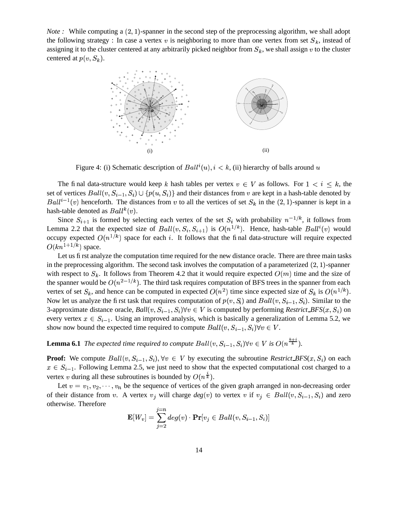*Note* : While computing a  $(2, 1)$ -spanner in the second step of the preprocessing algorithm, we shall adopt the following strategy : In case a vertex  $v$  is neighboring to more than one vertex from set  $S_k$ , instead of assigning it to the cluster centered at any arbitrarily picked neighbor from  $S_k$ , we shall assign v to the cluster centered at  $p(v, S_k)$ .



Figure 4: (i) Schematic description of  $Ball<sup>i</sup>(u)$ ,  $i < k$ , (ii) hierarchy of balls around u

The final data-structure would keep k hash tables per vertex  $v \in V$  as follows. For  $1 \le i \le k$ , the set of vertices  $Ball(v, S_{i-1}, S_i) \cup \{p(u, S_i)\}\$ and their distances from v are kept in a hash-table denoted by  $Ball^{i-1}(v)$  henceforth. The distances from v to all the vertices of set  $S_k$  in the  $(2, 1)$ -spanner is kept in a hash-table denoted as  $Ball^k(v)$ .

Since  $S_{i+1}$  is formed by selecting each vertex of the set  $S_i$  with probability  $n^{-1/k}$ , it follows from Lemma 2.2 that the expected size of  $Ball(v, S_i, S_{i+1})$  is  $O(n^{1/k})$ . Hence, hash-table  $Ball^i(v)$  would occupy expected  $O(n^{1/k})$  space for each *i*. It follows that the final data-structure will require expected  $O(kn^{1+1/k})$  space.

Let us first analyze the computation time required for the new distance oracle. There are three main tasks in the preprocessing algorithm. The second task involves the computation of a parameterized  $(2, 1)$ -spanner with respect to  $S_k$ . It follows from Theorem 4.2 that it would require expected  $O(m)$  time and the size of the spanner would be  $O(n^{2-1/k})$ . The third task requires computation of BFS trees in the spanner from each vertex of set  $S_k$ , and hence can be computed in expected  $O(n^2)$  time since expected size of  $S_k$  is  $O(n^{1/k})$ . <sup>+</sup> <sup>+</sup> vertex of set  $S_k$ , and hence can be computed in expected  $O(n^2)$  time since expected size of  $S_k$  is  $O(n^{1/k})$ .<br>Now let us analyze the first task that requires computation of  $p(v, S_i)$  and  $Ball(v, S_{i-1}, S_i)$ . Similar to the 3-approximate distance oracle,  $Ball(v, S_{i-1}, S_i) \forall v \in V$  is computed by performing *Restrict BFS* $(x, S_i)$  on every vertex  $x \in S_{i-1}$ . Using an improved analysis, which is basically a generalization of Lemma 5.2, we show now bound the expected time required to compute  $Ball(v, S_{i-1}, S_i) \forall v \in V$ .

**Lemma 6.1** The expected time required to compute  $Ball(v, S_{i-1}, S_i) \forall v \in V$  is  $O(n^{\frac{k+i}{k}})$ .

**Proof:** We compute  $Ball(v, S_{i-1}, S_i)$ ,  $\forall v \in V$  by executing the subroutine *Restrict BFS*( $x, S_i$ ) on each  $x \in S_{i-1}$ . Following Lemma 2.5, we just need to show that the expected computational cost charged to a vertex v during all these subroutines is bounded by  $O(n^{\frac{1}{k}})$ .

Let  $v = v_1, v_2, \dots, v_n$  be the sequence of vertices of the given graph arranged in non-decreasing order of their distance from v. A vertex  $v_j$  will charge  $deg(v)$  to vertex v if  $v_j \in Ball(v, S_{i-1}, S_i)$  and zero otherwise. Therefore

$$
\mathbf{E}[W_v] = \sum_{j=2}^{j=n} deg(v) \cdot \mathbf{Pr}[v_j \in Ball(v, S_{i-1}, S_i)]
$$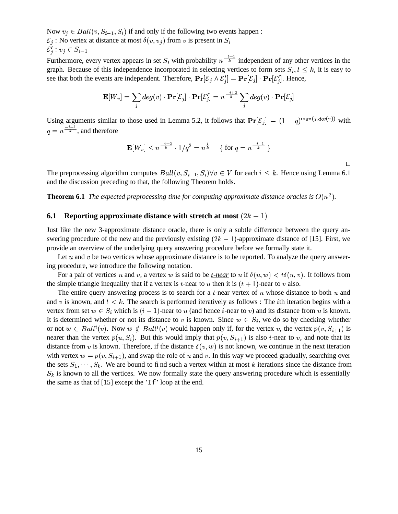Now  $v_i \in Ball(v, S_{i-1}, S_i)$  if and only if the following two events happen:  $\mathcal{E}_i$ : No vertex at distance at most  $\delta(v, v_i)$  from v is present in  $S_i$  $\mathcal{E}'_i : v_j \in S_{i-1}$ 

Furthermore, every vertex appears in set  $S_l$  with probability  $n^{\frac{-l+1}{k}}$  inde  $\frac{l+1}{k}$  independent of any other vertices in the graph. Because of this independence incorporated in selecting vertices to form sets  $S_i, i \leq k$ , it is easy to see that both the events are independent. Therefore,  $\Pr[\mathcal{E}_i \wedge \mathcal{E}_i'] = \Pr[\mathcal{E}_i] \cdot \Pr[\mathcal{E}_i']$ . Hence,

$$
\mathbf{E}[W_v] = \sum_j deg(v) \cdot \mathbf{Pr}[\mathcal{E}_j] \cdot \mathbf{Pr}[\mathcal{E}'_j] = n^{\frac{-i+2}{k}} \sum_j deg(v) \cdot \mathbf{Pr}[\mathcal{E}_j]
$$

Using arguments similar to those used in Lemma 5.2, it follows that  $Pr[\mathcal{E}_j] = (1-q)^{\max(j, deg(v))}$   $(v)$  with  $\sim$   $\sim$   $\sim$   $\sim$   $\sim$   $\sim$   $\sim$   $\sim$  $\frac{i+1}{k}$ , and therefore

$$
\mathbf{E}[W_v] \leq n^{\frac{-i+2}{k}} \cdot 1/q^2 = n^{\frac{i}{k}} \quad \text{ { for } q = n^{\frac{-i+1}{k}} \text{ } \}
$$

 $\Box$ 

The preprocessing algorithm computes  $Ball(v, S_{i-1}, S_i) \forall v \in V$  for each  $i \leq k$ . Hence using Lemma 6.1 and the discussion preceding to that, the following Theorem holds.

**Theorem 6.1** *The expected preprocessing time for computing approximate distance oracles is*  $O(n^2)$ *.* 

### **6.1 Reporting approximate distance with stretch at most**  $(2k - 1)$

Just like the new 3-approximate distance oracle, there is only a subtle difference between the query answering procedure of the new and the previously existing  $(2k - 1)$ -approximate distance of [15]. First, we provide an overview of the underlying query answering procedure before we formally state it.

Let  $u$  and  $v$  be two vertices whose approximate distance is to be reported. To analyze the query answering procedure, we introduce the following notation.

For a pair of vertices u and v, a vertex w is said to be <u>t-near</u> to u if  $\delta(u, w) < t\delta(u, v)$ . It follows from the simple triangle inequality that if a vertex is t-near to u then it is  $(t + 1)$ -near to v also.

The entire query answering process is to search for a  $t$ -near vertex of  $u$  whose distance to both  $u$  and and v is known, and  $t < k$ . The search is performed iteratively as follows : The *i*th iteration begins with a vertex from set  $w \in S_i$  which is  $(i-1)$ -near to u (and hence *i*-near to v) and its distance from u is known. It is determined whether or not its distance to v is known. Since  $w \in S_i$ , we do so by checking whether or not  $w \in Ball^i(v)$ . Now  $w \notin Ball^i(v)$  would happen only if, for the vertex v, the vertex  $p(v, S_{i+1})$  is nearer than the vertex  $p(u, S_i)$ . But this would imply that  $p(v, S_{i+1})$  is also *i*-near to *v*, and note that its distance from v is known. Therefore, if the distance  $\delta(v, w)$  is not known, we continue in the next iteration with vertex  $w = p(v, S_{i+1})$ , and swap the role of u and v. In this way we proceed gradually, searching over the sets  $S_1, \dots, S_k$ . We are bound to find such a vertex within at most k iterations since the distance from  $S_k$  is known to all the vertices. We now formally state the query answering procedure which is essentially the same as that of [15] except the 'If' loop at the end.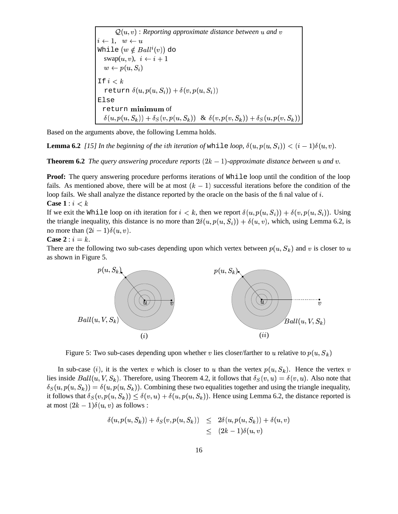$\mathcal{Q}(u, v)$  : Reporting approximate distance between  $u$  and  $v$  $i \leftarrow 1, w \leftarrow u$  While  $(w \notin Ball^{\imath}(v))$  do  $swap(u, v), \ i \leftarrow i+1$  $w \leftarrow p(u, S_i)$ If  $i < k$ return  $\delta(u, p(u,S_i)) + \delta(v, p(u,S_i))$ Else  ${\bf r}$ eturn  ${\bf m}$ ini ${\bf m}$ um of  $\delta(u,p(u,S_k)) + \delta_S(v,p(u,S_k)) \,\,\, \& \,\, \delta(v,p(v,S_k)) + \delta_S(u,p(v,S_k)) \,\Big\vert \quad$ 

Based on the arguments above, the following Lemma holds.

**Lemma 6.2** [15] In the beginning of the ith iteration of while *loop*,  $\delta(u, p(u, S_i)) < (i-1)\delta(u, v)$ .

**Theorem 6.2** *The query answering procedure reports*  $(2k - 1)$ -*approximate distance between*  $u$  *and*  $v$ .

**Proof:** The query answering procedure performs iterations of While loop until the condition of the loop fails. As mentioned above, there will be at most  $(k - 1)$  successful iterations before the condition of the loop fails. We shall analyze the distance reported by the oracle on the basis of the final value of  $i$ . **Case**  $1:i < k$ 

If we exit the While loop on *i*th iteration for  $i < k$ , then we report  $\delta(u, p(u, S_i)) + \delta(v, p(u, S_i))$ . Using the triangle inequality, this distance is no more than  $2\delta(u, p(u, S_i)) + \delta(u, v)$ , which, using Lemma 6.2, is no more than  $(2i - 1)\delta(u, v)$ .

### **Case**  $2 : i = k$ .

There are the following two sub-cases depending upon which vertex between  $p(u, S_k)$  and v is closer to u as shown in Figure 5.



Figure 5: Two sub-cases depending upon whether v lies closer/farther to u relative to  $p(u, S_k)$ 

In sub-case (*i*), it is the vertex v which is closer to u than the vertex  $p(u, S_k)$ . Hence the vertex v lies inside  $Ball(u, V, S_k)$ . Therefore, using Theorem 4.2, it follows that  $\delta_S(v, u) = \delta(v, u)$ . Also note that  $\delta_S(u, p(u, S_k)) = \delta(u, p(u, S_k))$ . Combining these two equalities together and using the triangle inequality, it follows that  $\delta_S(v, p(u, S_k)) \leq \delta(v, u) + \delta(u, p(u, S_k))$ . Hence using Lemma 6.2, the distance reported is at most  $(2k-1)\delta(u,v)$  as follows :

$$
\begin{array}{lcl} \delta(u,p(u,S_k)) + \delta_S(v,p(u,S_k)) & \leq & 2\delta(u,p(u,S_k)) + \delta(u,v) \\ & \leq & (2k-1)\delta(u,v) \end{array}
$$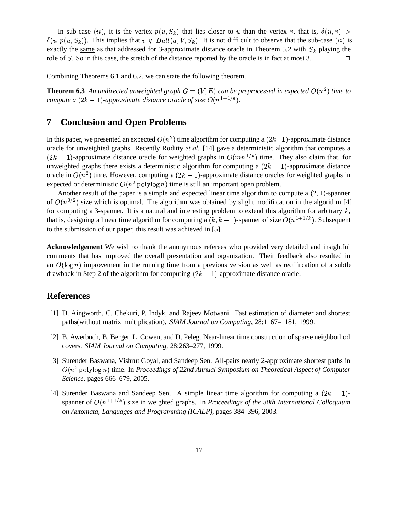In sub-case (*ii*), it is the vertex  $p(u, S_k)$  that lies closer to u than the vertex v, that is,  $\delta(u, v)$  >  $\delta(u, p(u, S_k))$ . This implies that  $v \notin Ball(u, V, S_k)$ . It is not difficult to observe that the sub-case (ii) is exactly the <u>same</u> as that addressed for 3-approximate distance oracle in Theorem 5.2 with  $S_k$  playing the role of S. So in this case, the stretch of the distance reported by the oracle is in fact at most 3.

Combining Theorems 6.1 and 6.2, we can state the following theorem.

**Theorem 6.3** An undirected unweighted graph  $G = (V, E)$  can be preprocessed in expected  $O(n^2)$  time to *compute* a  $(2k - 1)$ -approximate distance oracle of size  $O(n^{1+1/k})$ .

# **7 Conclusion and Open Problems**

In this paper, we presented an expected  $O(n^2)$  time algorithm for computing a  $(2k-1)$ -approximate distance oracle for unweighted graphs. Recently Roditty *et al.* [14] gave a deterministic algorithm that computes a  $(2k-1)$ -approximate distance oracle for weighted graphs in  $O(mn^{1/k})$  time. They also claim that, for unweighted graphs there exists a deterministic algorithm for computing a  $(2k - 1)$ -approximate distance oracle in  $O(n^2)$  time. However, computing a  $(2k-1)$ -approximate distance oracles for weighted graphs in expected or deterministic  $O(n^2 \text{ polylog } n)$  time is still an important open problem.

Another result of the paper is a simple and expected linear time algorithm to compute a  $(2, 1)$ -spanner of  $O(n^{3/2})$  size which is optimal. The algorithm was obtained by slight modification in the algorithm [4] for computing a 3-spanner. It is a natural and interesting problem to extend this algorithm for arbitrary  $k$ , that is, designing a linear time algorithm for computing a  $(k, k - 1)$ -spanner of size  $O(n^{1+1/k})$ . Subsequent to the submission of our paper, this result was achieved in [5].

**Acknowledgement** We wish to thank the anonymous referees who provided very detailed and insightful comments that has improved the overall presentation and organization. Their feedback also resulted in an  $O(\log n)$  improvement in the running time from a previous version as well as rectification of a subtle drawback in Step 2 of the algorithm for computing  $(2k - 1)$ -approximate distance oracle.

# **References**

- [1] D. Aingworth, C. Chekuri, P. Indyk, and Rajeev Motwani. Fast estimation of diameter and shortest paths(without matrix multiplication). *SIAM Journal on Computing*, 28:1167–1181, 1999.
- [2] B. Awerbuch, B. Berger, L. Cowen, and D. Peleg. Near-linear time construction of sparse neighborhod covers. *SIAM Journal on Computing*, 28:263–277, 1999.
- [3] Surender Baswana, Vishrut Goyal, and Sandeep Sen. All-pairs nearly 2-approximate shortest paths in  $O(n^2 \operatorname{polylog} n)$  time. In *Proceedings of 22nd Annual Symposium on Theoretical Aspect of Computer Science*, pages 666–679, 2005.
- [4] Surender Baswana and Sandeep Sen. A simple linear time algorithm for computing a  $(2k 1)$ spanner of  $O(n^{1+1/k})$  size in weighted graphs. In *Proceedings of the 30th International Colloquium on Automata, Languages and Programming (ICALP)*, pages 384–396, 2003.